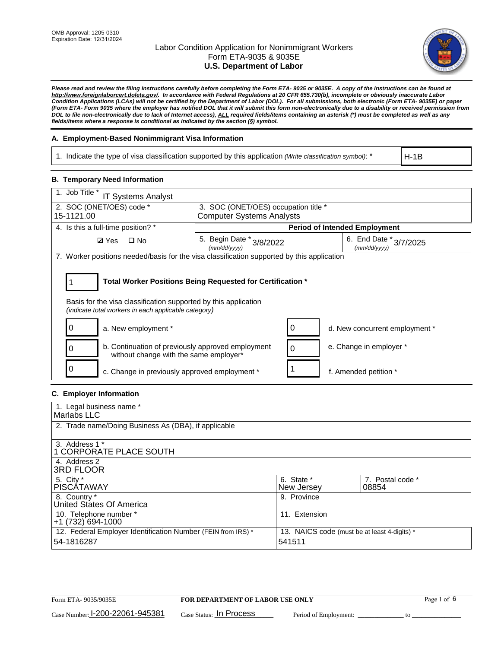

*Please read and review the filing instructions carefully before completing the Form ETA- 9035 or 9035E. A copy of the instructions can be found at http://www.foreignlaborcert.doleta.gov/. In accordance with Federal Regulations at 20 CFR 655.730(b), incomplete or obviously inaccurate Labor Condition Applications (LCAs) will not be certified by the Department of Labor (DOL). For all submissions, both electronic (Form ETA- 9035E) or paper (Form ETA- Form 9035 where the employer has notified DOL that it will submit this form non-electronically due to a disability or received permission from DOL to file non-electronically due to lack of Internet access), ALL required fields/items containing an asterisk (\*) must be completed as well as any fields/items where a response is conditional as indicated by the section (§) symbol.* 

### **A. Employment-Based Nonimmigrant Visa Information**

1. Indicate the type of visa classification supported by this application *(Write classification symbol)*: \*

H-1B

#### **B. Temporary Need Information**

| 1. Job Title *<br><b>IT Systems Analyst</b>                                                                             |                                                                                    |                                      |  |  |  |
|-------------------------------------------------------------------------------------------------------------------------|------------------------------------------------------------------------------------|--------------------------------------|--|--|--|
| 2. SOC (ONET/OES) code *<br>15-1121.00                                                                                  | 3. SOC (ONET/OES) occupation title *<br><b>Computer Systems Analysts</b>           |                                      |  |  |  |
|                                                                                                                         |                                                                                    |                                      |  |  |  |
| 4. Is this a full-time position? *                                                                                      |                                                                                    | <b>Period of Intended Employment</b> |  |  |  |
| $\Box$ No<br><b>Ø</b> Yes                                                                                               | 5. Begin Date * 3/8/2022<br>6. End Date * 3/7/2025<br>(mm/dd/yyyy)<br>(mm/dd/yyyy) |                                      |  |  |  |
| 7. Worker positions needed/basis for the visa classification supported by this application                              |                                                                                    |                                      |  |  |  |
|                                                                                                                         |                                                                                    |                                      |  |  |  |
| Total Worker Positions Being Requested for Certification *                                                              |                                                                                    |                                      |  |  |  |
| Basis for the visa classification supported by this application<br>(indicate total workers in each applicable category) |                                                                                    |                                      |  |  |  |
| 0<br>a. New employment *                                                                                                | 0                                                                                  | d. New concurrent employment *       |  |  |  |
| b. Continuation of previously approved employment<br>0<br>without change with the same employer*                        | $\Omega$                                                                           | e. Change in employer *              |  |  |  |
| c. Change in previously approved employment *                                                                           |                                                                                    | f. Amended petition *                |  |  |  |

### **C. Employer Information**

| 1. Legal business name *                                                   |                                                        |                           |
|----------------------------------------------------------------------------|--------------------------------------------------------|---------------------------|
| Marlabs LLC                                                                |                                                        |                           |
| 2. Trade name/Doing Business As (DBA), if applicable                       |                                                        |                           |
| 3. Address 1 *<br>1 CORPORATE PLACE SOUTH<br>4. Address 2                  |                                                        |                           |
| <b>3RD FLOOR</b>                                                           |                                                        |                           |
| 5. City *<br><b>PISCÁTAWAY</b>                                             | 6. State *<br>New Jersey                               | 7. Postal code *<br>08854 |
| 8. Country *<br>United States Of America                                   | 9. Province                                            |                           |
| 10. Telephone number *<br>$+1(732)694-1000$                                | 11. Extension                                          |                           |
| 12. Federal Employer Identification Number (FEIN from IRS) *<br>54-1816287 | 13. NAICS code (must be at least 4-digits) *<br>541511 |                           |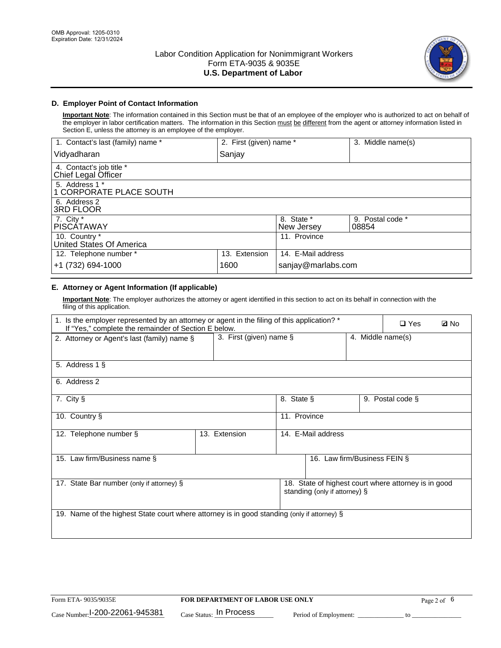

### **D. Employer Point of Contact Information**

**Important Note**: The information contained in this Section must be that of an employee of the employer who is authorized to act on behalf of the employer in labor certification matters. The information in this Section must be different from the agent or attorney information listed in Section E, unless the attorney is an employee of the employer.

| 1. Contact's last (family) name *               | 2. First (given) name * |                          | 3. Middle name(s)         |
|-------------------------------------------------|-------------------------|--------------------------|---------------------------|
| Vidyadharan                                     | Sanjay                  |                          |                           |
| 4. Contact's job title *<br>Chief Legal Officer |                         |                          |                           |
| 5. Address 1 *<br>1 CORPORATE PLACE SOUTH       |                         |                          |                           |
| 6. Address 2<br>3RD FLOOR                       |                         |                          |                           |
| 7. City $*$<br><b>PISCÁTAWAY</b>                |                         | 8. State *<br>New Jersey | 9. Postal code *<br>08854 |
| 10. Country *<br>United States Of America       |                         | 11. Province             |                           |
| 12. Telephone number *                          | 13. Extension           | 14. E-Mail address       |                           |
| +1 (732) 694-1000                               | 1600                    | sanjay@marlabs.com       |                           |

# **E. Attorney or Agent Information (If applicable)**

**Important Note**: The employer authorizes the attorney or agent identified in this section to act on its behalf in connection with the filing of this application.

| 1. Is the employer represented by an attorney or agent in the filing of this application? *<br>If "Yes," complete the remainder of Section E below. |                            |                    |                               | $\Box$ Yes        | <b>Ø</b> No                                          |  |
|-----------------------------------------------------------------------------------------------------------------------------------------------------|----------------------------|--------------------|-------------------------------|-------------------|------------------------------------------------------|--|
| 2. Attorney or Agent's last (family) name §                                                                                                         | 3. First (given) name $\S$ |                    |                               | 4. Middle name(s) |                                                      |  |
| 5. Address 1 §                                                                                                                                      |                            |                    |                               |                   |                                                      |  |
| 6. Address 2                                                                                                                                        |                            |                    |                               |                   |                                                      |  |
| 7. City §                                                                                                                                           |                            | 8. State §         |                               |                   | 9. Postal code §                                     |  |
| 10. Country §                                                                                                                                       |                            | 11. Province       |                               |                   |                                                      |  |
| 12. Telephone number §                                                                                                                              | 13. Extension              | 14. E-Mail address |                               |                   |                                                      |  |
| 15. Law firm/Business name §                                                                                                                        |                            |                    | 16. Law firm/Business FEIN §  |                   |                                                      |  |
| 17. State Bar number (only if attorney) §                                                                                                           |                            |                    | standing (only if attorney) § |                   | 18. State of highest court where attorney is in good |  |
| 19. Name of the highest State court where attorney is in good standing (only if attorney) §                                                         |                            |                    |                               |                   |                                                      |  |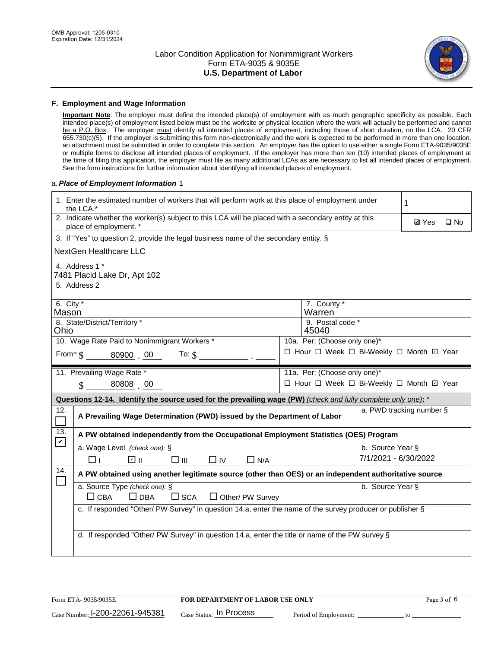

#### **F. Employment and Wage Information**

**Important Note**: The employer must define the intended place(s) of employment with as much geographic specificity as possible. Each intended place(s) of employment listed below must be the worksite or physical location where the work will actually be performed and cannot be a P.O. Box. The employer must identify all intended places of employment, including those of short duration, on the LCA. 20 CFR 655.730(c)(5). If the employer is submitting this form non-electronically and the work is expected to be performed in more than one location, an attachment must be submitted in order to complete this section. An employer has the option to use either a single Form ETA-9035/9035E or multiple forms to disclose all intended places of employment. If the employer has more than ten (10) intended places of employment at the time of filing this application, the employer must file as many additional LCAs as are necessary to list all intended places of employment. See the form instructions for further information about identifying all intended places of employment.

#### a.*Place of Employment Information* 1

|                      | 1. Enter the estimated number of workers that will perform work at this place of employment under<br>the LCA.*                 |  |                                          |                      |                          |              |  |
|----------------------|--------------------------------------------------------------------------------------------------------------------------------|--|------------------------------------------|----------------------|--------------------------|--------------|--|
|                      | 2. Indicate whether the worker(s) subject to this LCA will be placed with a secondary entity at this<br>place of employment. * |  |                                          |                      | <b>Ø</b> Yes             | $\square$ No |  |
|                      | 3. If "Yes" to question 2, provide the legal business name of the secondary entity. §                                          |  |                                          |                      |                          |              |  |
|                      | NextGen Healthcare LLC                                                                                                         |  |                                          |                      |                          |              |  |
|                      | 4. Address 1 *<br>7481 Placid Lake Dr, Apt 102                                                                                 |  |                                          |                      |                          |              |  |
|                      | 5. Address 2                                                                                                                   |  |                                          |                      |                          |              |  |
| 6. City $*$<br>Mason |                                                                                                                                |  | 7. County *<br>Warren                    |                      |                          |              |  |
| Ohio                 | 8. State/District/Territory *                                                                                                  |  | 9. Postal code *<br>45040                |                      |                          |              |  |
|                      | 10. Wage Rate Paid to Nonimmigrant Workers *                                                                                   |  | 10a. Per: (Choose only one)*             |                      |                          |              |  |
|                      | From * \$ 80900 00<br>To: $$$                                                                                                  |  | □ Hour □ Week □ Bi-Weekly □ Month 回 Year |                      |                          |              |  |
|                      | 11. Prevailing Wage Rate *                                                                                                     |  | 11a. Per: (Choose only one)*             |                      |                          |              |  |
|                      | 80808 00<br>$\mathbf{\hat{S}}$                                                                                                 |  | □ Hour □ Week □ Bi-Weekly □ Month □ Year |                      |                          |              |  |
|                      | Questions 12-14. Identify the source used for the prevailing wage (PW) (check and fully complete only one): *                  |  |                                          |                      |                          |              |  |
| 12.<br>$\Box$        | A Prevailing Wage Determination (PWD) issued by the Department of Labor                                                        |  |                                          |                      | a. PWD tracking number § |              |  |
| 13.<br>$\mathbf v$   | A PW obtained independently from the Occupational Employment Statistics (OES) Program                                          |  |                                          |                      |                          |              |  |
|                      | a. Wage Level (check one): §                                                                                                   |  |                                          | b. Source Year §     |                          |              |  |
|                      | ☑ ॥<br>$\square$ $\square$<br>⊓⊥<br>$\Box$ IV<br>$\Box$ N/A                                                                    |  |                                          | 7/1/2021 - 6/30/2022 |                          |              |  |
| 14.                  | A PW obtained using another legitimate source (other than OES) or an independent authoritative source                          |  |                                          |                      |                          |              |  |
|                      | a. Source Type (check one): §<br>b. Source Year §<br>$\Box$ CBA<br>$\Box$ DBA<br>$\square$ SCA<br>$\Box$ Other/ PW Survey      |  |                                          |                      |                          |              |  |
|                      | c. If responded "Other/ PW Survey" in question 14.a, enter the name of the survey producer or publisher §                      |  |                                          |                      |                          |              |  |
|                      | d. If responded "Other/ PW Survey" in question 14.a, enter the title or name of the PW survey §                                |  |                                          |                      |                          |              |  |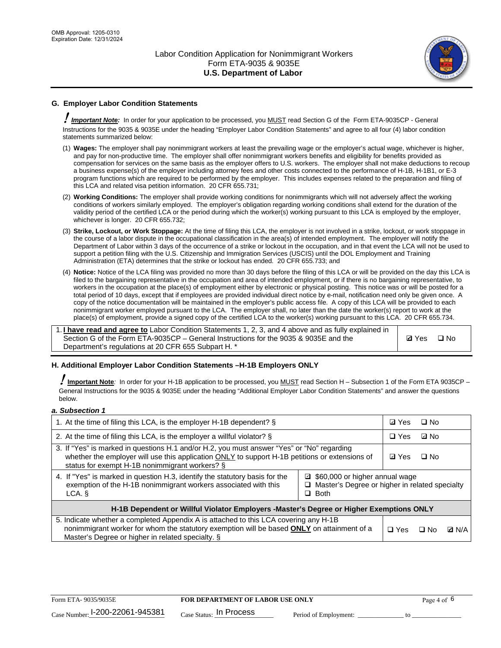

# **G. Employer Labor Condition Statements**

! *Important Note:* In order for your application to be processed, you MUST read Section G of the Form ETA-9035CP - General Instructions for the 9035 & 9035E under the heading "Employer Labor Condition Statements" and agree to all four (4) labor condition statements summarized below:

- (1) **Wages:** The employer shall pay nonimmigrant workers at least the prevailing wage or the employer's actual wage, whichever is higher, and pay for non-productive time. The employer shall offer nonimmigrant workers benefits and eligibility for benefits provided as compensation for services on the same basis as the employer offers to U.S. workers. The employer shall not make deductions to recoup a business expense(s) of the employer including attorney fees and other costs connected to the performance of H-1B, H-1B1, or E-3 program functions which are required to be performed by the employer. This includes expenses related to the preparation and filing of this LCA and related visa petition information. 20 CFR 655.731;
- (2) **Working Conditions:** The employer shall provide working conditions for nonimmigrants which will not adversely affect the working conditions of workers similarly employed. The employer's obligation regarding working conditions shall extend for the duration of the validity period of the certified LCA or the period during which the worker(s) working pursuant to this LCA is employed by the employer, whichever is longer. 20 CFR 655.732;
- (3) **Strike, Lockout, or Work Stoppage:** At the time of filing this LCA, the employer is not involved in a strike, lockout, or work stoppage in the course of a labor dispute in the occupational classification in the area(s) of intended employment. The employer will notify the Department of Labor within 3 days of the occurrence of a strike or lockout in the occupation, and in that event the LCA will not be used to support a petition filing with the U.S. Citizenship and Immigration Services (USCIS) until the DOL Employment and Training Administration (ETA) determines that the strike or lockout has ended. 20 CFR 655.733; and
- (4) **Notice:** Notice of the LCA filing was provided no more than 30 days before the filing of this LCA or will be provided on the day this LCA is filed to the bargaining representative in the occupation and area of intended employment, or if there is no bargaining representative, to workers in the occupation at the place(s) of employment either by electronic or physical posting. This notice was or will be posted for a total period of 10 days, except that if employees are provided individual direct notice by e-mail, notification need only be given once. A copy of the notice documentation will be maintained in the employer's public access file. A copy of this LCA will be provided to each nonimmigrant worker employed pursuant to the LCA. The employer shall, no later than the date the worker(s) report to work at the place(s) of employment, provide a signed copy of the certified LCA to the worker(s) working pursuant to this LCA. 20 CFR 655.734.

1. **I have read and agree to** Labor Condition Statements 1, 2, 3, and 4 above and as fully explained in Section G of the Form ETA-9035CP – General Instructions for the 9035 & 9035E and the Department's regulations at 20 CFR 655 Subpart H. \*

**Ø**Yes ロNo

### **H. Additional Employer Labor Condition Statements –H-1B Employers ONLY**

!**Important Note***:* In order for your H-1B application to be processed, you MUST read Section H – Subsection 1 of the Form ETA 9035CP – General Instructions for the 9035 & 9035E under the heading "Additional Employer Labor Condition Statements" and answer the questions below.

#### *a. Subsection 1*

| 1. At the time of filing this LCA, is the employer H-1B dependent? §                                                                                                                                                                                          |  |            | $\square$ No |              |
|---------------------------------------------------------------------------------------------------------------------------------------------------------------------------------------------------------------------------------------------------------------|--|------------|--------------|--------------|
| 2. At the time of filing this LCA, is the employer a willful violator? $\S$                                                                                                                                                                                   |  | $\Box$ Yes | ⊡ No         |              |
| 3. If "Yes" is marked in questions H.1 and/or H.2, you must answer "Yes" or "No" regarding<br>whether the employer will use this application ONLY to support H-1B petitions or extensions of<br>status for exempt H-1B nonimmigrant workers? §                |  |            | $\Box$ No    |              |
| 4. If "Yes" is marked in question H.3, identify the statutory basis for the<br>■ \$60,000 or higher annual wage<br>exemption of the H-1B nonimmigrant workers associated with this<br>□ Master's Degree or higher in related specialty<br>$\Box$ Both<br>LCA. |  |            |              |              |
| H-1B Dependent or Willful Violator Employers -Master's Degree or Higher Exemptions ONLY                                                                                                                                                                       |  |            |              |              |
| 5. Indicate whether a completed Appendix A is attached to this LCA covering any H-1B<br>nonimmigrant worker for whom the statutory exemption will be based <b>ONLY</b> on attainment of a<br>Master's Degree or higher in related specialty. §                |  |            | ⊡ No         | <b>Q</b> N/A |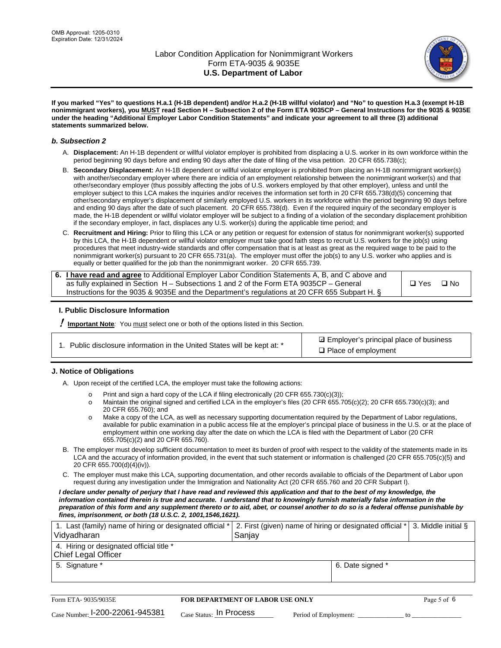

**If you marked "Yes" to questions H.a.1 (H-1B dependent) and/or H.a.2 (H-1B willful violator) and "No" to question H.a.3 (exempt H-1B nonimmigrant workers), you MUST read Section H – Subsection 2 of the Form ETA 9035CP – General Instructions for the 9035 & 9035E under the heading "Additional Employer Labor Condition Statements" and indicate your agreement to all three (3) additional statements summarized below.**

#### *b. Subsection 2*

- A. **Displacement:** An H-1B dependent or willful violator employer is prohibited from displacing a U.S. worker in its own workforce within the period beginning 90 days before and ending 90 days after the date of filing of the visa petition. 20 CFR 655.738(c);
- B. **Secondary Displacement:** An H-1B dependent or willful violator employer is prohibited from placing an H-1B nonimmigrant worker(s) with another/secondary employer where there are indicia of an employment relationship between the nonimmigrant worker(s) and that other/secondary employer (thus possibly affecting the jobs of U.S. workers employed by that other employer), unless and until the employer subject to this LCA makes the inquiries and/or receives the information set forth in 20 CFR 655.738(d)(5) concerning that other/secondary employer's displacement of similarly employed U.S. workers in its workforce within the period beginning 90 days before and ending 90 days after the date of such placement. 20 CFR 655.738(d). Even if the required inquiry of the secondary employer is made, the H-1B dependent or willful violator employer will be subject to a finding of a violation of the secondary displacement prohibition if the secondary employer, in fact, displaces any U.S. worker(s) during the applicable time period; and
- C. **Recruitment and Hiring:** Prior to filing this LCA or any petition or request for extension of status for nonimmigrant worker(s) supported by this LCA, the H-1B dependent or willful violator employer must take good faith steps to recruit U.S. workers for the job(s) using procedures that meet industry-wide standards and offer compensation that is at least as great as the required wage to be paid to the nonimmigrant worker(s) pursuant to 20 CFR 655.731(a). The employer must offer the job(s) to any U.S. worker who applies and is equally or better qualified for the job than the nonimmigrant worker. 20 CFR 655.739.

| 6. I have read and agree to Additional Employer Labor Condition Statements A, B, and C above and |               |           |
|--------------------------------------------------------------------------------------------------|---------------|-----------|
| as fully explained in Section H – Subsections 1 and 2 of the Form ETA 9035CP – General           | $\square$ Yes | $\Box$ No |
| Instructions for the 9035 & 9035 E and the Department's regulations at 20 CFR 655 Subpart H. §   |               |           |

### **I. Public Disclosure Information**

! **Important Note***:* You must select one or both of the options listed in this Section.

**sqrt** Employer's principal place of business □ Place of employment

### **J. Notice of Obligations**

A. Upon receipt of the certified LCA, the employer must take the following actions:

- o Print and sign a hard copy of the LCA if filing electronically (20 CFR 655.730(c)(3));<br>
Maintain the original signed and certified LCA in the employer's files (20 CFR 655.7
- Maintain the original signed and certified LCA in the employer's files (20 CFR 655.705(c)(2); 20 CFR 655.730(c)(3); and 20 CFR 655.760); and
- o Make a copy of the LCA, as well as necessary supporting documentation required by the Department of Labor regulations, available for public examination in a public access file at the employer's principal place of business in the U.S. or at the place of employment within one working day after the date on which the LCA is filed with the Department of Labor (20 CFR 655.705(c)(2) and 20 CFR 655.760).
- B. The employer must develop sufficient documentation to meet its burden of proof with respect to the validity of the statements made in its LCA and the accuracy of information provided, in the event that such statement or information is challenged (20 CFR 655.705(c)(5) and 20 CFR 655.700(d)(4)(iv)).
- C. The employer must make this LCA, supporting documentation, and other records available to officials of the Department of Labor upon request during any investigation under the Immigration and Nationality Act (20 CFR 655.760 and 20 CFR Subpart I).

*I declare under penalty of perjury that I have read and reviewed this application and that to the best of my knowledge, the*  information contained therein is true and accurate. I understand that to knowingly furnish materially false information in the *preparation of this form and any supplement thereto or to aid, abet, or counsel another to do so is a federal offense punishable by fines, imprisonment, or both (18 U.S.C. 2, 1001,1546,1621).*

| 1. Last (family) name of hiring or designated official *   2. First (given) name of hiring or designated official *   3. Middle initial §<br>Vidyadharan | Saniav           |  |
|----------------------------------------------------------------------------------------------------------------------------------------------------------|------------------|--|
| 4. Hiring or designated official title *<br>Chief Legal Officer                                                                                          |                  |  |
| 5. Signature *                                                                                                                                           | 6. Date signed * |  |

| Form ETA-9035/9035E                         | <b>FOR DEPARTMENT OF LABOR USE ONLY</b> |                       |  |
|---------------------------------------------|-----------------------------------------|-----------------------|--|
| $_{\text{Case Number:}}$ I-200-22061-945381 | $_{\rm Case~S status:}$ In Process      | Period of Employment: |  |